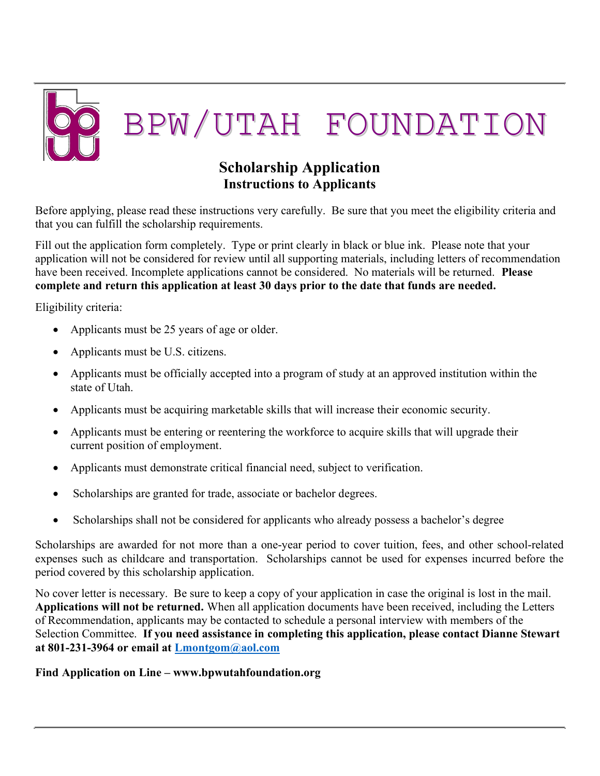

# Scholarship Application Instructions to Applicants

Before applying, please read these instructions very carefully. Be sure that you meet the eligibility criteria and that you can fulfill the scholarship requirements.

Fill out the application form completely. Type or print clearly in black or blue ink. Please note that your application will not be considered for review until all supporting materials, including letters of recommendation have been received. Incomplete applications cannot be considered. No materials will be returned. **Please** complete and return this application at least 30 days prior to the date that funds are needed.

Eligibility criteria:

- Applicants must be 25 years of age or older.
- Applicants must be U.S. citizens.
- Applicants must be officially accepted into a program of study at an approved institution within the state of Utah.
- Applicants must be acquiring marketable skills that will increase their economic security.
- Applicants must be entering or reentering the workforce to acquire skills that will upgrade their current position of employment.
- Applicants must demonstrate critical financial need, subject to verification.
- Scholarships are granted for trade, associate or bachelor degrees.
- Scholarships shall not be considered for applicants who already possess a bachelor's degree

Scholarships are awarded for not more than a one-year period to cover tuition, fees, and other school-related expenses such as childcare and transportation. Scholarships cannot be used for expenses incurred before the period covered by this scholarship application.

No cover letter is necessary. Be sure to keep a copy of your application in case the original is lost in the mail. Applications will not be returned. When all application documents have been received, including the Letters of Recommendation, applicants may be contacted to schedule a personal interview with members of the Selection Committee. If you need assistance in completing this application, please contact Dianne Stewart at 801-231-3964 or email at Lmontgom@aol.com

#### Find Application on Line – www.bpwutahfoundation.org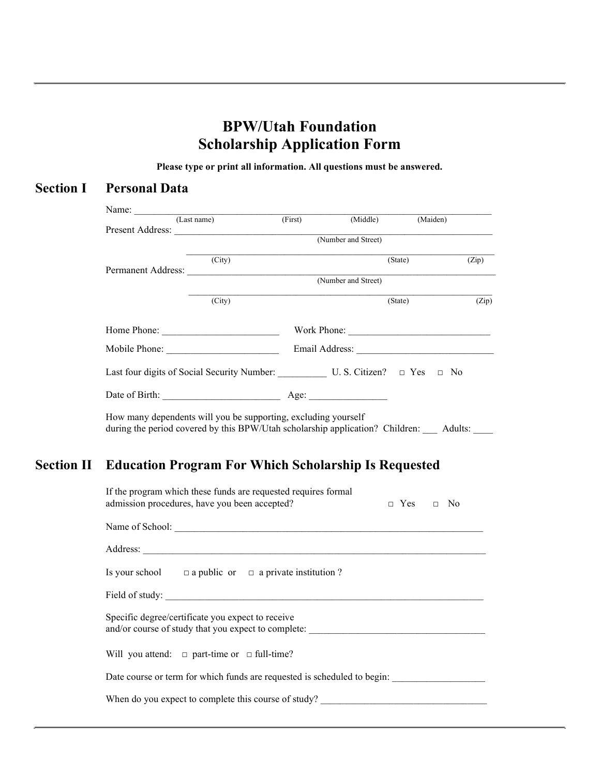# BPW/Utah Foundation Scholarship Application Form

Please type or print all information. All questions must be answered.

### Section I Personal Data

| (City) |             |                                                    |                                                                | (Zip)                                                                                                                                  |
|--------|-------------|----------------------------------------------------|----------------------------------------------------------------|----------------------------------------------------------------------------------------------------------------------------------------|
|        |             |                                                    |                                                                |                                                                                                                                        |
| (City) |             |                                                    |                                                                | (Zip)                                                                                                                                  |
|        |             |                                                    |                                                                |                                                                                                                                        |
|        |             |                                                    |                                                                |                                                                                                                                        |
|        |             |                                                    |                                                                |                                                                                                                                        |
|        |             |                                                    |                                                                |                                                                                                                                        |
|        | (Last name) | Permanent Address:<br>Home Phone:<br>Mobile Phone: | Present Address:<br>(Number and Street)<br>(Number and Street) | (First) (Middle) (Maiden)<br>(State)<br>(State)<br>Work Phone:<br>Last four digits of Social Security Number: U.S. Citizen? □ Yes □ No |

during the period covered by this BPW/Utah scholarship application? Children: \_\_\_ Adults: \_\_\_\_

### Section II Education Program For Which Scholarship Is Requested

| If the program which these funds are requested requires formal<br>admission procedures, have you been accepted?<br>$\Box$ Yes $\Box$ No |
|-----------------------------------------------------------------------------------------------------------------------------------------|
|                                                                                                                                         |
|                                                                                                                                         |
| Is your school $\Box$ a public or $\Box$ a private institution ?                                                                        |
|                                                                                                                                         |
| Specific degree/certificate you expect to receive<br>and/or course of study that you expect to complete:                                |
| Will you attend: $\Box$ part-time or $\Box$ full-time?                                                                                  |
| Date course or term for which funds are requested is scheduled to begin:                                                                |
| When do you expect to complete this course of study?                                                                                    |
|                                                                                                                                         |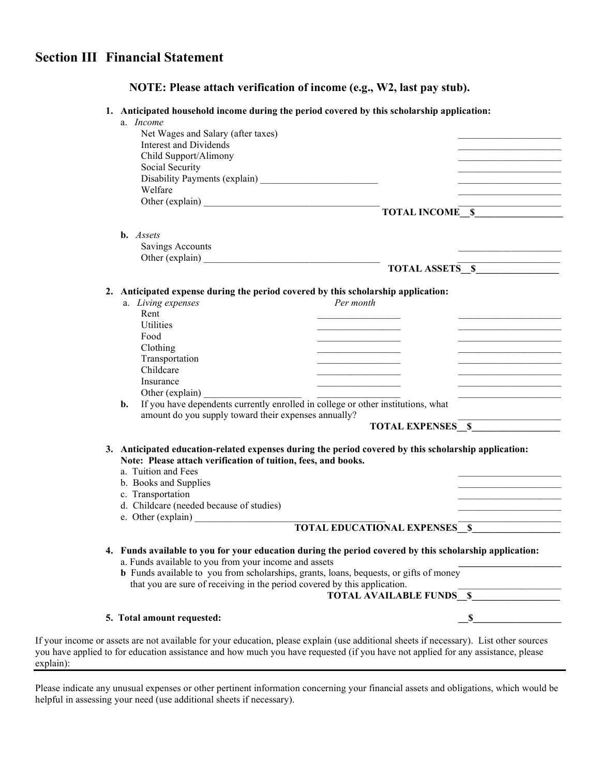# Section III Financial Statement

| NOTE: Please attach verification of income (e.g., W2, last pay stub). |  |
|-----------------------------------------------------------------------|--|
|-----------------------------------------------------------------------|--|

#### 1. Anticipated household income during the period covered by this scholarship application:

| a. <i>Income</i>                                                                                                                                       |                                                                                                                                                                                                                                      |
|--------------------------------------------------------------------------------------------------------------------------------------------------------|--------------------------------------------------------------------------------------------------------------------------------------------------------------------------------------------------------------------------------------|
| Net Wages and Salary (after taxes)                                                                                                                     |                                                                                                                                                                                                                                      |
| <b>Interest and Dividends</b>                                                                                                                          |                                                                                                                                                                                                                                      |
| Child Support/Alimony                                                                                                                                  |                                                                                                                                                                                                                                      |
| Social Security                                                                                                                                        |                                                                                                                                                                                                                                      |
| Welfare                                                                                                                                                |                                                                                                                                                                                                                                      |
|                                                                                                                                                        |                                                                                                                                                                                                                                      |
|                                                                                                                                                        | TOTAL INCOME <sub>S</sub>                                                                                                                                                                                                            |
|                                                                                                                                                        |                                                                                                                                                                                                                                      |
| <b>b.</b> Assets                                                                                                                                       |                                                                                                                                                                                                                                      |
| Savings Accounts                                                                                                                                       |                                                                                                                                                                                                                                      |
| Other (explain)                                                                                                                                        |                                                                                                                                                                                                                                      |
|                                                                                                                                                        | TOTAL ASSETS S                                                                                                                                                                                                                       |
|                                                                                                                                                        |                                                                                                                                                                                                                                      |
| 2. Anticipated expense during the period covered by this scholarship application:                                                                      |                                                                                                                                                                                                                                      |
| Per month<br>a. Living expenses                                                                                                                        |                                                                                                                                                                                                                                      |
| Rent                                                                                                                                                   |                                                                                                                                                                                                                                      |
| Utilities                                                                                                                                              |                                                                                                                                                                                                                                      |
| Food                                                                                                                                                   | <u> 1989 - Johann John Harry Harry Harry Harry Harry Harry Harry Harry Harry Harry Harry Harry Harry Harry Harry Harry Harry Harry Harry Harry Harry Harry Harry Harry Harry Harry Harry Harry Harry Harry Harry Harry Harry Har</u> |
| Clothing                                                                                                                                               | <u> 1989 - Johann John Harry Harry Harry Harry Harry Harry Harry Harry Harry Harry Harry Harry Harry Harry Harry Harry Harry Harry Harry Harry Harry Harry Harry Harry Harry Harry Harry Harry Harry Harry Harry Harry Harry Har</u> |
| Transportation<br>Childcare                                                                                                                            | <u> 2002 - Johann Johann Johann Johann Johann Johann Johann Johann Johann Johann Johann Johann Johann Johann Johann Johann Johann Johann Johann Johann Johann Johann Johann Johann Johann Johann Johann Johann Johann Johann Joh</u> |
| Insurance                                                                                                                                              |                                                                                                                                                                                                                                      |
|                                                                                                                                                        |                                                                                                                                                                                                                                      |
| Other (explain)<br>If you have dependents currently enrolled in college or other institutions, what<br>$\mathbf{b}$ .                                  |                                                                                                                                                                                                                                      |
| amount do you supply toward their expenses annually?                                                                                                   |                                                                                                                                                                                                                                      |
| <b>TOTAL EXPENSES</b> \$                                                                                                                               |                                                                                                                                                                                                                                      |
|                                                                                                                                                        |                                                                                                                                                                                                                                      |
| 3. Anticipated education-related expenses during the period covered by this scholarship application:                                                   |                                                                                                                                                                                                                                      |
| Note: Please attach verification of tuition, fees, and books.                                                                                          |                                                                                                                                                                                                                                      |
| a. Tuition and Fees                                                                                                                                    |                                                                                                                                                                                                                                      |
| b. Books and Supplies                                                                                                                                  |                                                                                                                                                                                                                                      |
| c. Transportation                                                                                                                                      | the control of the control of the control of the control of                                                                                                                                                                          |
| d. Childcare (needed because of studies)                                                                                                               |                                                                                                                                                                                                                                      |
| e. Other (explain)                                                                                                                                     |                                                                                                                                                                                                                                      |
| <b>TOTAL EDUCATIONAL EXPENSES</b> \$                                                                                                                   |                                                                                                                                                                                                                                      |
|                                                                                                                                                        |                                                                                                                                                                                                                                      |
| 4. Funds available to you for your education during the period covered by this scholarship application:                                                |                                                                                                                                                                                                                                      |
| a. Funds available to you from your income and assets<br><b>b</b> Funds available to you from scholarships, grants, loans, bequests, or gifts of money |                                                                                                                                                                                                                                      |
| that you are sure of receiving in the period covered by this application.                                                                              |                                                                                                                                                                                                                                      |
| <b>TOTAL AVAILABLE FUNDS \$</b>                                                                                                                        |                                                                                                                                                                                                                                      |
|                                                                                                                                                        |                                                                                                                                                                                                                                      |
|                                                                                                                                                        |                                                                                                                                                                                                                                      |
| 5. Total amount requested:                                                                                                                             | S,                                                                                                                                                                                                                                   |

If your income or you have applied explain):

Please indicate any unusual expenses or other pertinent information concerning your financial assets and obligations, which would be helpful in assessing your need (use additional sheets if necessary).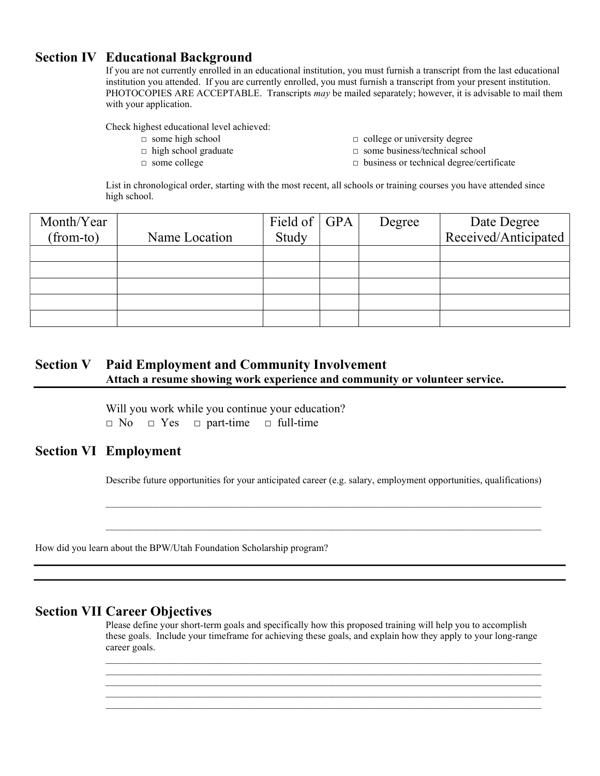#### Section IV Educational Background

If you are not currently enrolled in an educational institution, you must furnish a transcript from the last educational institution you attended. If you are currently enrolled, you must furnish a transcript from your present institution. PHOTOCOPIES ARE ACCEPTABLE. Transcripts may be mailed separately; however, it is advisable to mail them with your application.

Check highest educational level achieved:

- 
- 
- 
- □ some high school □ college or university degree
- □ high school graduate □ some business/technical school
- □ some college □ business or technical degree/certificate

List in chronological order, starting with the most recent, all schools or training courses you have attended since high school.

| Month/Year |               | Field of $\vert$ GPA | Degree | Date Degree          |
|------------|---------------|----------------------|--------|----------------------|
| (from-to)  | Name Location | Study                |        | Received/Anticipated |
|            |               |                      |        |                      |
|            |               |                      |        |                      |
|            |               |                      |        |                      |
|            |               |                      |        |                      |
|            |               |                      |        |                      |

### Section V Paid Employment and Community Involvement Attach a resume showing work experience and community or volunteer service.

 Will you work while you continue your education? □ No □ Yes □ part-time □ full-time

#### Section VI Employment

Describe future opportunities for your anticipated career (e.g. salary, employment opportunities, qualifications)

 $\mathcal{L}_\mathcal{L} = \mathcal{L}_\mathcal{L} = \mathcal{L}_\mathcal{L} = \mathcal{L}_\mathcal{L} = \mathcal{L}_\mathcal{L} = \mathcal{L}_\mathcal{L} = \mathcal{L}_\mathcal{L} = \mathcal{L}_\mathcal{L} = \mathcal{L}_\mathcal{L} = \mathcal{L}_\mathcal{L} = \mathcal{L}_\mathcal{L} = \mathcal{L}_\mathcal{L} = \mathcal{L}_\mathcal{L} = \mathcal{L}_\mathcal{L} = \mathcal{L}_\mathcal{L} = \mathcal{L}_\mathcal{L} = \mathcal{L}_\mathcal{L}$ 

 $\mathcal{L}_\mathcal{L} = \mathcal{L}_\mathcal{L} = \mathcal{L}_\mathcal{L} = \mathcal{L}_\mathcal{L} = \mathcal{L}_\mathcal{L} = \mathcal{L}_\mathcal{L} = \mathcal{L}_\mathcal{L} = \mathcal{L}_\mathcal{L} = \mathcal{L}_\mathcal{L} = \mathcal{L}_\mathcal{L} = \mathcal{L}_\mathcal{L} = \mathcal{L}_\mathcal{L} = \mathcal{L}_\mathcal{L} = \mathcal{L}_\mathcal{L} = \mathcal{L}_\mathcal{L} = \mathcal{L}_\mathcal{L} = \mathcal{L}_\mathcal{L}$ 

 $\mathcal{L}_\mathcal{L} = \mathcal{L}_\mathcal{L} = \mathcal{L}_\mathcal{L} = \mathcal{L}_\mathcal{L} = \mathcal{L}_\mathcal{L} = \mathcal{L}_\mathcal{L} = \mathcal{L}_\mathcal{L} = \mathcal{L}_\mathcal{L} = \mathcal{L}_\mathcal{L} = \mathcal{L}_\mathcal{L} = \mathcal{L}_\mathcal{L} = \mathcal{L}_\mathcal{L} = \mathcal{L}_\mathcal{L} = \mathcal{L}_\mathcal{L} = \mathcal{L}_\mathcal{L} = \mathcal{L}_\mathcal{L} = \mathcal{L}_\mathcal{L}$  $\mathcal{L}_\text{max}$ 

 $\mathcal{L}_\mathcal{L} = \mathcal{L}_\mathcal{L} = \mathcal{L}_\mathcal{L} = \mathcal{L}_\mathcal{L} = \mathcal{L}_\mathcal{L} = \mathcal{L}_\mathcal{L} = \mathcal{L}_\mathcal{L} = \mathcal{L}_\mathcal{L} = \mathcal{L}_\mathcal{L} = \mathcal{L}_\mathcal{L} = \mathcal{L}_\mathcal{L} = \mathcal{L}_\mathcal{L} = \mathcal{L}_\mathcal{L} = \mathcal{L}_\mathcal{L} = \mathcal{L}_\mathcal{L} = \mathcal{L}_\mathcal{L} = \mathcal{L}_\mathcal{L}$ 

How did you learn about the BPW/Utah Foundation Scholarship program?

#### Section VII Career Objectives

 Please define your short-term goals and specifically how this proposed training will help you to accomplish these goals. Include your timeframe for achieving these goals, and explain how they apply to your long-range career goals.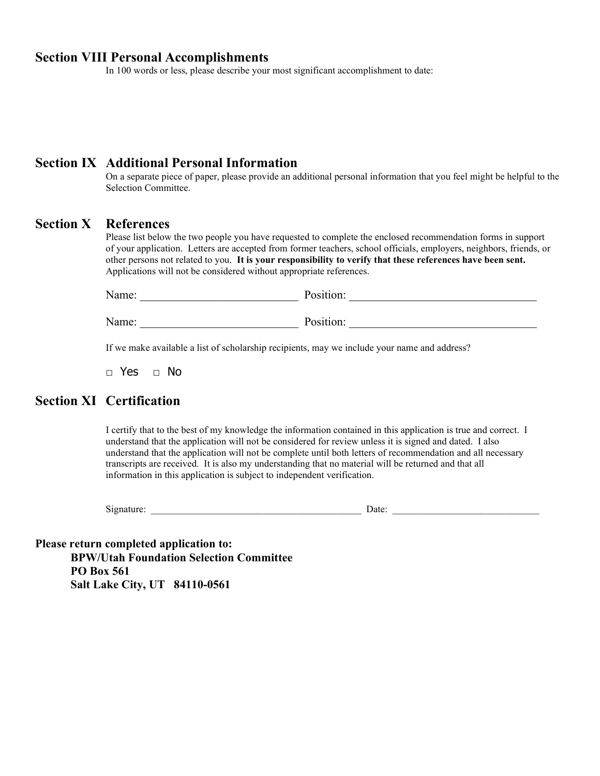#### Section VIII Personal Accomplishments

In 100 words or less, please describe your most significant accomplishment to date:

#### Section IX Additional Personal Information

On a separate piece of paper, please provide an additional personal information that you feel might be helpful to the Selection Committee.

#### Section X References

 Please list below the two people you have requested to complete the enclosed recommendation forms in support of your application. Letters are accepted from former teachers, school officials, employers, neighbors, friends, or other persons not related to you. It is your responsibility to verify that these references have been sent. Applications will not be considered without appropriate references.

| Name: | Docition: |  |
|-------|-----------|--|
| Name: | Position: |  |

If we make available a list of scholarship recipients, may we include your name and address?

□ Yes □ No

## Section XI Certification

 I certify that to the best of my knowledge the information contained in this application is true and correct. I understand that the application will not be considered for review unless it is signed and dated. I also understand that the application will not be complete until both letters of recommendation and all necessary transcripts are received. It is also my understanding that no material will be returned and that all information in this application is subject to independent verification.

| Signature: | Date: |  |
|------------|-------|--|
|            |       |  |

Please return completed application to: BPW/Utah Foundation Selection Committee PO Box 561 Salt Lake City, UT 84110-0561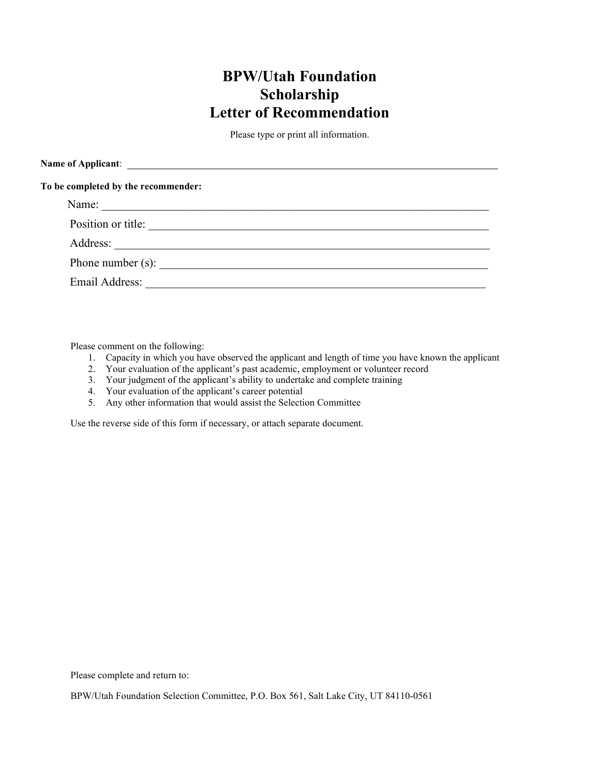# BPW/Utah Foundation Scholarship Letter of Recommendation

Please type or print all information.

| To be completed by the recommender: |  |
|-------------------------------------|--|
| Name:                               |  |
| Position or title:                  |  |
| Address:                            |  |
| Phone number (s): $\qquad \qquad$   |  |
| Email Address:                      |  |

Please comment on the following:

- 1. Capacity in which you have observed the applicant and length of time you have known the applicant
- 2. Your evaluation of the applicant's past academic, employment or volunteer record
- 3. Your judgment of the applicant's ability to undertake and complete training
- 4. Your evaluation of the applicant's career potential
- 5. Any other information that would assist the Selection Committee

Use the reverse side of this form if necessary, or attach separate document.

Please complete and return to:

BPW/Utah Foundation Selection Committee, P.O. Box 561, Salt Lake City, UT 84110-0561